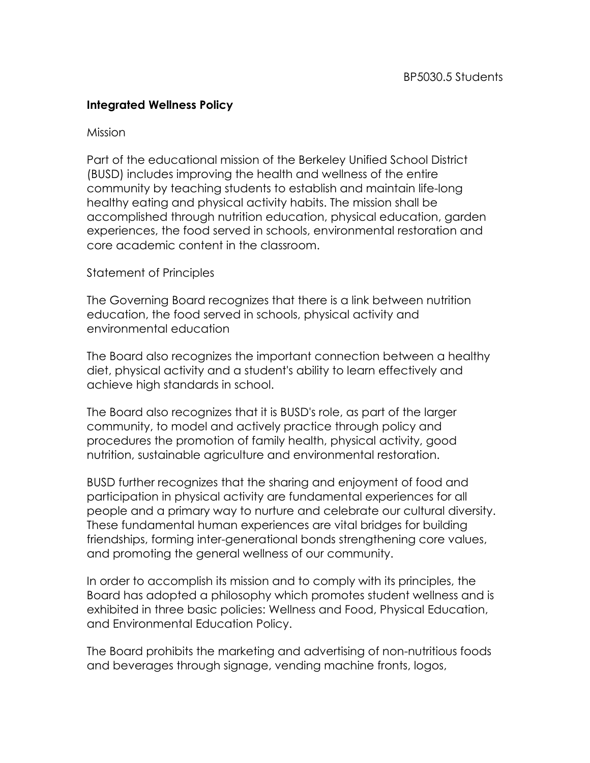## **Integrated Wellness Policy**

## Mission

Part of the educational mission of the Berkeley Unified School District (BUSD) includes improving the health and wellness of the entire community by teaching students to establish and maintain life-long healthy eating and physical activity habits. The mission shall be accomplished through nutrition education, physical education, garden experiences, the food served in schools, environmental restoration and core academic content in the classroom.

## Statement of Principles

The Governing Board recognizes that there is a link between nutrition education, the food served in schools, physical activity and environmental education

The Board also recognizes the important connection between a healthy diet, physical activity and a student's ability to learn effectively and achieve high standards in school.

The Board also recognizes that it is BUSD's role, as part of the larger community, to model and actively practice through policy and procedures the promotion of family health, physical activity, good nutrition, sustainable agriculture and environmental restoration.

BUSD further recognizes that the sharing and enjoyment of food and participation in physical activity are fundamental experiences for all people and a primary way to nurture and celebrate our cultural diversity. These fundamental human experiences are vital bridges for building friendships, forming inter-generational bonds strengthening core values, and promoting the general wellness of our community.

In order to accomplish its mission and to comply with its principles, the Board has adopted a philosophy which promotes student wellness and is exhibited in three basic policies: Wellness and Food, Physical Education, and Environmental Education Policy.

The Board prohibits the marketing and advertising of non-nutritious foods and beverages through signage, vending machine fronts, logos,